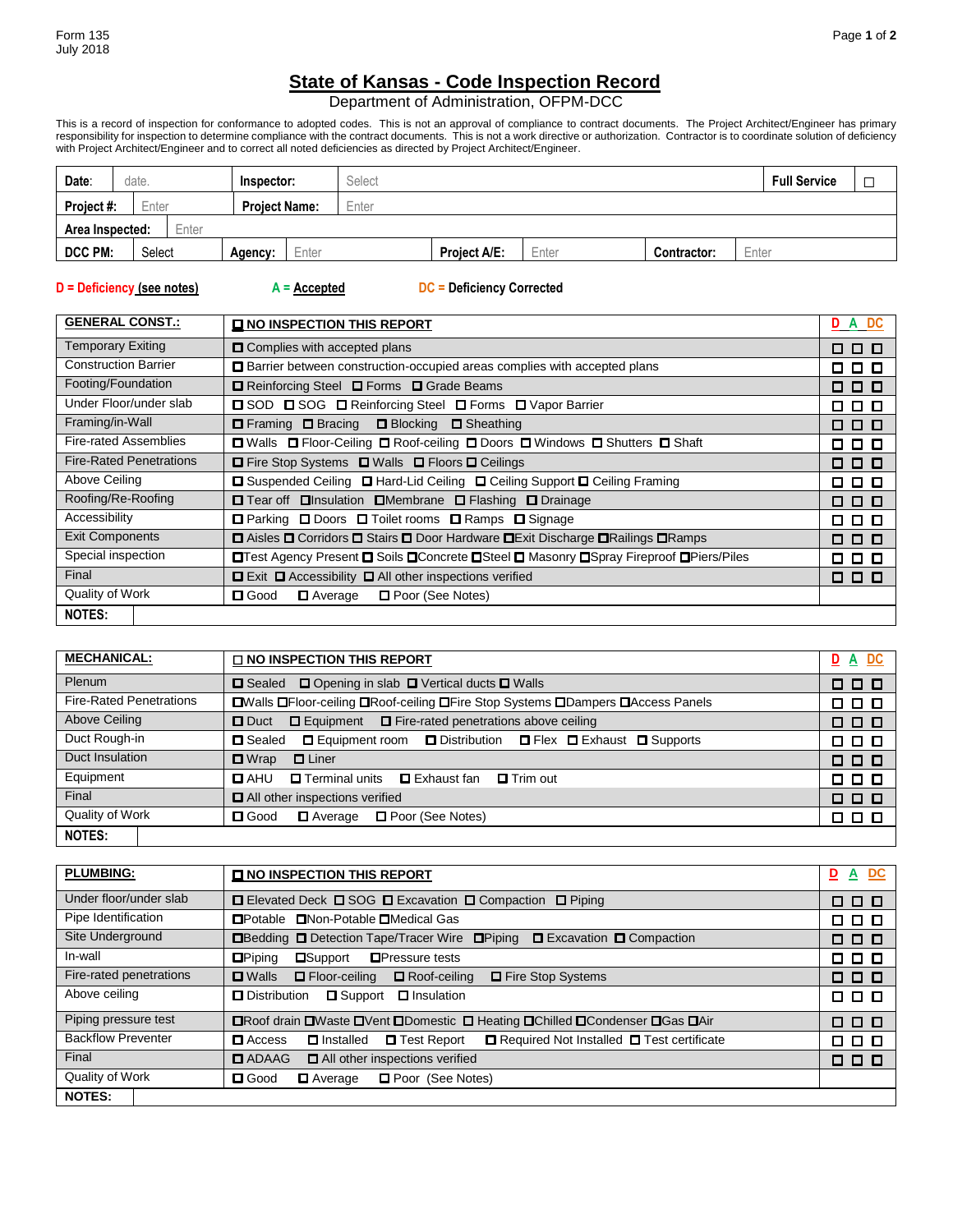## **State of Kansas - Code Inspection Record**

## Department of Administration, OFPM-DCC

This is a record of inspection for conformance to adopted codes. This is not an approval of compliance to contract documents. The Project Architect/Engineer has primary responsibility for inspection to determine compliance with the contract documents. This is not a work directive or authorization. Contractor is to coordinate solution of deficiency with Project Architect/Engineer and to correct all noted deficiencies as directed by Project Architect/Engineer.

| Date:                    | date.  |                      |         | Inspector: |  | <b>Select</b>       |       |                    |       |  | <b>Full Service</b> |  |
|--------------------------|--------|----------------------|---------|------------|--|---------------------|-------|--------------------|-------|--|---------------------|--|
| Enter<br>Project #:      |        | <b>Project Name:</b> |         | Enter      |  |                     |       |                    |       |  |                     |  |
| Area Inspected:<br>Enter |        |                      |         |            |  |                     |       |                    |       |  |                     |  |
| <b>DCC PM:</b>           | Select |                      | Agency: | Enter      |  | <b>Project A/E:</b> | Enter | <b>Contractor:</b> | Enter |  |                     |  |

## **D = Deficiency (see notes)** A = Accepted DC = Deficiency Corrected

| <b>GENERAL CONST.:</b>         | <b>O NO INSPECTION THIS REPORT</b>                                                           | D A DC |
|--------------------------------|----------------------------------------------------------------------------------------------|--------|
| <b>Temporary Exiting</b>       | <b>O</b> Complies with accepted plans                                                        | 88 B B |
| <b>Construction Barrier</b>    | □ Barrier between construction-occupied areas complies with accepted plans                   | 8 8 8  |
| Footing/Foundation             | □ Reinforcing Steel □ Forms □ Grade Beams                                                    | 88 8   |
| Under Floor/under slab         | <b>□ SOD □ SOG □ Reinforcing Steel □ Forms □ Vapor Barrier</b>                               | 88 B B |
| Framing/in-Wall                | $\Box$ Framing $\Box$ Bracing $\Box$ Blocking $\Box$ Sheathing                               | 0 0 0  |
| <b>Fire-rated Assemblies</b>   | <b>□ Walls □ Floor-Ceiling □ Roof-ceiling □ Doors □ Windows □ Shutters □ Shaft</b>           | 88 B B |
| <b>Fire-Rated Penetrations</b> | <b>□</b> Fire Stop Systems ■ Walls ■ Floors ■ Ceilings                                       | 000    |
| Above Ceiling                  | □ Suspended Ceiling □ Hard-Lid Ceiling □ Ceiling Support □ Ceiling Framing                   | 88 B B |
| Roofing/Re-Roofing             | □ Tear off □ Insulation □ Membrane □ Flashing □ Drainage                                     | 888    |
| Accessibility                  | □ Parking □ Doors □ Toilet rooms □ Ramps □ Signage                                           | 000    |
| <b>Exit Components</b>         | <b>□</b> Aisles □ Corridors □ Stairs □ Door Hardware □ Exit Discharge □ Railings □ Ramps     | 0 0 0  |
| Special inspection             | <b>OTest Agency Present O Soils OConcrete OSteel O Masonry OSpray Fireproof OPiers/Piles</b> | 88 B B |
| Final                          | □ Exit □ Accessibility □ All other inspections verified                                      | 000    |
| Quality of Work                | Poor (See Notes)<br>$\square$ Good<br><b>□</b> Average                                       |        |
| <b>NOTES:</b>                  |                                                                                              |        |

| <b>MECHANICAL:</b>             | □ NO INSPECTION THIS REPORT                                                                             |            |  |
|--------------------------------|---------------------------------------------------------------------------------------------------------|------------|--|
| Plenum                         | □ Sealed □ Opening in slab □ Vertical ducts □ Walls                                                     | 000        |  |
| <b>Fire-Rated Penetrations</b> | <b>OWalls OF loor-ceiling ORoof-ceiling OFire Stop Systems ODampers OAccess Panels</b>                  | 000        |  |
| Above Ceiling                  | $\Box$ Fire-rated penetrations above ceiling<br>$\Box$ Duct<br>$\Box$ Equipment                         | 000        |  |
| Duct Rough-in                  | $\Box$ Equipment room $\Box$ Distribution $\Box$ Flex $\Box$ Exhaust $\Box$ Supports<br><b>□</b> Sealed | 00O        |  |
| Duct Insulation                | $\Box$ Liner<br>$\Box$ Wrap                                                                             | <b>000</b> |  |
| Equipment                      | $\Box$ Exhaust fan<br><b>O</b> Terminal units<br>$\Box$ Trim out<br>O AHU                               | 888        |  |
| Final                          | □ All other inspections verified                                                                        | 000        |  |
| Quality of Work                | Poor (See Notes)<br>$\square$ Good<br><b>□</b> Average                                                  | 000        |  |
| <b>NOTES:</b>                  |                                                                                                         |            |  |

| <b>PLUMBING:</b>          | <b>O NO INSPECTION THIS REPORT</b>                                                                       | $D$ $A$ $DC$ |
|---------------------------|----------------------------------------------------------------------------------------------------------|--------------|
| Under floor/under slab    | □ Elevated Deck □ SOG □ Excavation □ Compaction □ Piping                                                 | 0 0 0        |
| Pipe Identification       | <b>□Potable</b> □Non-Potable □Medical Gas                                                                | <b>000</b>   |
| Site Underground          | <b>□Bedding □ Detection Tape/Tracer Wire □ Piping □ Excavation □ Compaction</b>                          | 88 B B       |
| In-wall                   | $\Box$ Pressure tests<br><b>O</b> Piping<br><b>O</b> Support                                             | 88 B B       |
| Fire-rated penetrations   | $\square$ Walls<br>$\Box$ Floor-ceiling<br>$\Box$ Roof-ceiling<br>□ Fire Stop Systems                    | 000          |
| Above ceiling             | D Distribution<br>$\Box$ Support<br>$\Box$ Insulation                                                    | 888          |
| Piping pressure test      | <b>□Roof drain □Waste □Vent □Domestic □ Heating □Chilled □Condenser □Gas □Air</b>                        | 000          |
| <b>Backflow Preventer</b> | □ Required Not Installed □ Test certificate<br><b>□</b> Test Report<br>$\Box$ Access<br>$\Box$ Installed | 88 B B       |
| Final                     | $\Box$ ADAAG<br>All other inspections verified                                                           | 000          |
| Quality of Work           | $\Box$ Good<br>□ Poor (See Notes)<br><b>□</b> Average                                                    |              |
| <b>NOTES:</b>             |                                                                                                          |              |